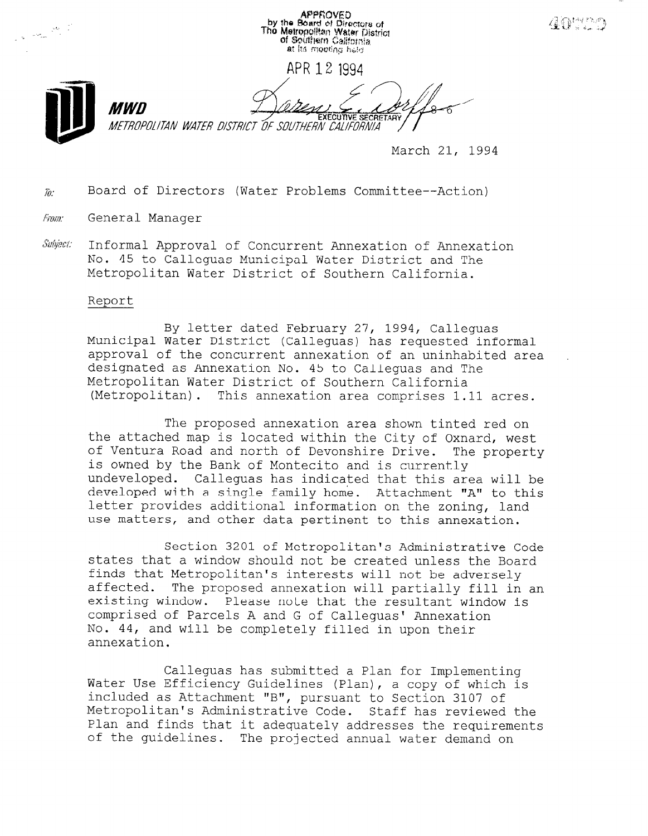APPROVED<br>by the Board of Directors of<br>The Metropolitan Water District<br>of Southern California at its meeting held. APR 12 1994 MWN METROPOLITAN WATER DISTRICT OF SOUTHERN CALIFORNIA March 21, 1994

**Internal** 

 $\bar{y}_0$ . Board of Directors (Water Problems Committee--Action)

*From:* General Manager

Suhject: Informal Approval of Concurrent Annexation of Annexation No. 45 to Calleguas Municipal Water District and The Metropolitan Water District of Southern California.

#### Report

By letter dated February 27, 1994, Calleguas Municipal Water District (Calleguas) has requested informal approval of the concurrent annexation of an uninhabited area designated as Annexation No. 45 to Calleguas and The Metropolitan Water District of Southern California (Metropolitan). This annexation area comprises 1.11 acres.

The proposed annexation area shown tinted red on the attached map is located within the City of Oxnard, west of Ventura Road and north of Devonshire Drive. The property is owned by the Bank of Montecito and is currently undeveloped. Calleguas has indicated that this area will be developed with a single family home. Attachment "A" to this letter provides additional information on the zoning, land use matters, and other data pertinent to this annexation.

Section 3201 of Metropolitan's Administrative Code states that a window should not be created unless the Board finds that Metropolitan's interests will not be adversely affected. The proposed annexation will partially fill in an affected. The proposed annexation will partially fill in an existing window. Please note that the resultant window is comprised of Parcels A and G of Calleguas' Annexation No. 44, and will be completely filled in upon their annexation.

Calleguas has submitted a Plan for Implementing Water Use Efficiency Guidelines (Plan), a copy of which is included as Attachment "B", pursuant to Section 3107 of Metropolitan's Administrative Code. Staff has reviewed the Plan and finds that it adequately addresses the requirements of the guidelines. The projected annual water demand on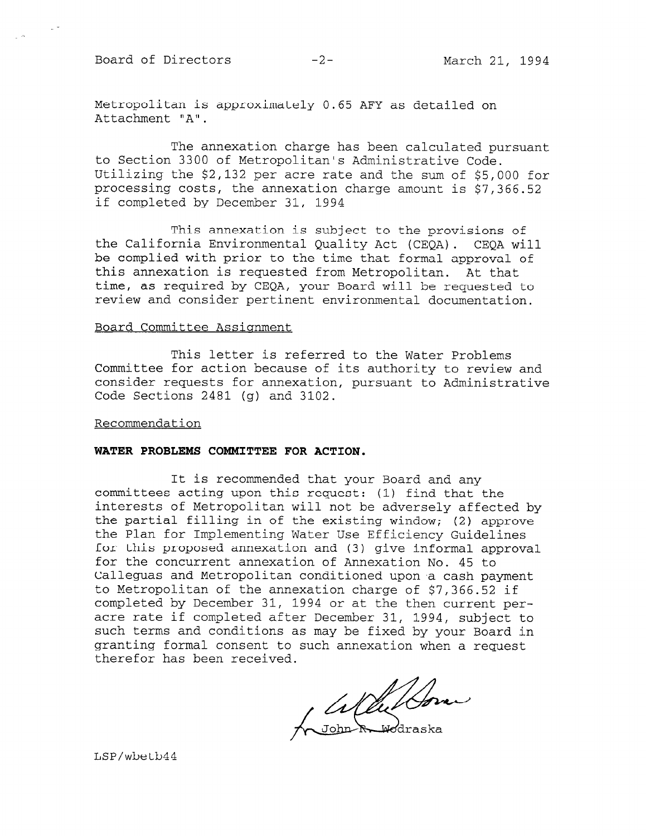Board of Directors -2- March 21, 1994

Metropolitan is approximately 0.65 AFY as detailed on Attachment "A".

The annexation charge has been calculated pursuant to Section 3300 of Metropolitan's Administrative Code. Utilizing the \$2,132 per acre rate and the sum of \$5,000 for processing costs, the annexation charge amount is \$7,366.52 if completed by December 31, 1994

This annexation is subject to the provisions of the California Environmental Quality Act (CEQA). CEQA will be complied with prior to the time that formal approval of this annexation is requested from Metropolitan. At that time, as required by CEQA, your Board will be requested to review and consider pertinent environmental documentation.

#### Board Committee Assignment

This letter is referred to the Water Problems Committee for action because of its authority to review and consider requests for annexation, pursuant to Administrative Code Sections 2481 (g) and 3102.

Recommendation

#### WATER PROBLEMS COMMITTEE FOR ACTION.

It is recommended that your Board and any committees acting upon this request: (1) find that the interests of Metropolitan will not be adversely affected by the partial filling in of the existing window; (2) approve the Plan for Implementing Water Use Efficiency Guidelines for this proposed annexation and (3) give informal approval for the concurrent annexation of Annexation No. 45 to Calleguas and Metropolitan conditioned upon 'a cash payment to Metropolitan of the annexation charge of \$7,366.52 if completed by December 31, 1994 or at the then current peracre rate if completed after December 31, 1994, subject to such terms and conditions as may be fixed by your Board in granting formal consent to such annexation when a request therefor has been received.

La Children

LSP/wbetb44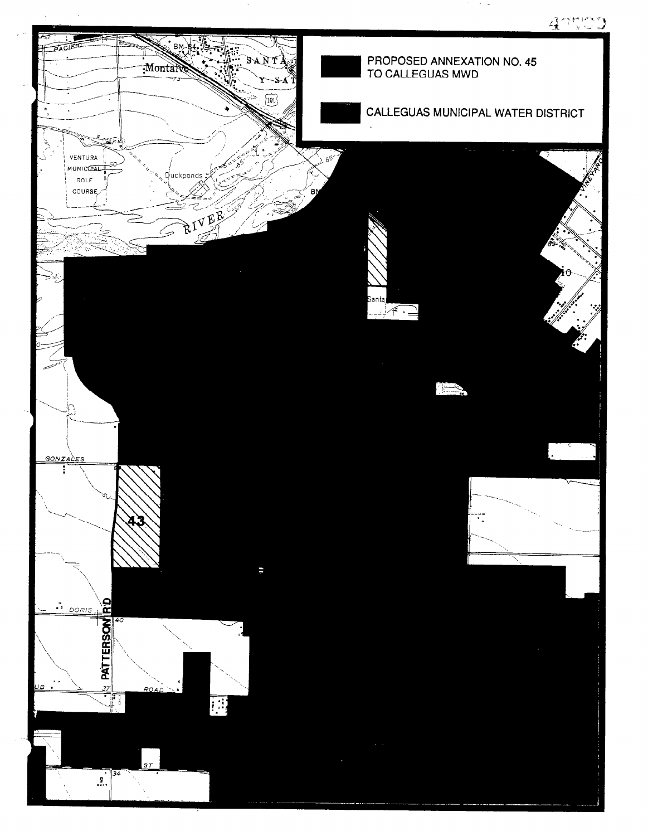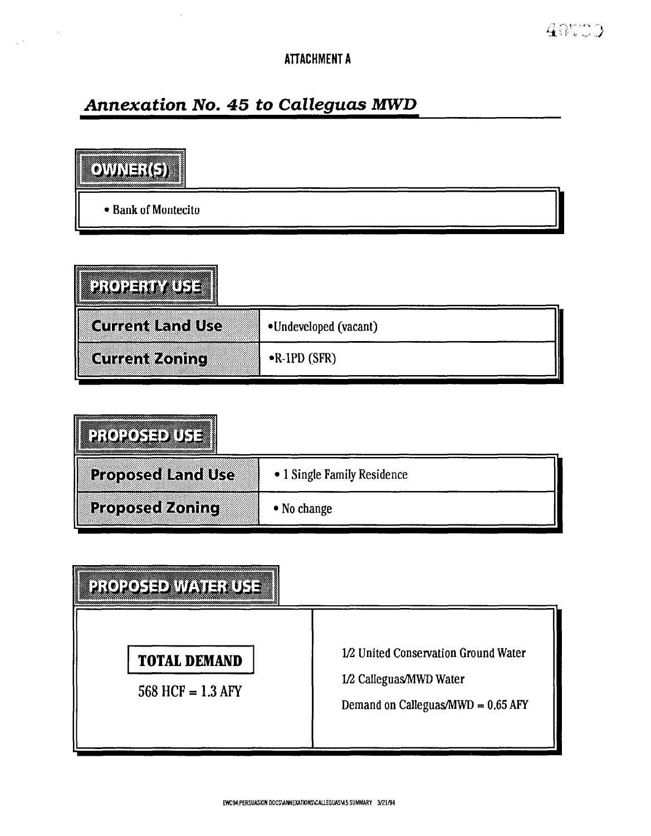### **ATTACHMENT A**

## Annexation No. 45 to Calleguas MWD

# $\psi$ WER $\Theta$

 $\frac{1}{2}$  ,  $\frac{1}{2}$ 

 $\zeta$  .  $\delta$ 

· Bank of Montecito

| <u>ELIBRITIST I</u>     |                       |  |  |
|-------------------------|-----------------------|--|--|
| <b>Current Land Use</b> | •Undeveloped (vacant) |  |  |
| <b>Current Zoning</b>   | $\bullet$ R-1PD (SFR) |  |  |

| <u>proposed us</u>       |                             |  |
|--------------------------|-----------------------------|--|
| <b>Proposed Land Use</b> | • 1 Single Family Residence |  |
| <b>Proposed Zoning</b>   | $\bullet$ No change         |  |

| proposed water use                         |                                                                                                       |  |  |
|--------------------------------------------|-------------------------------------------------------------------------------------------------------|--|--|
| <b>TOTAL DEMAND</b><br>568 HCF $= 1.3$ AFY | 1/2 United Conservation Ground Water<br>1/2 Calleguas/MWD Water<br>Demand on Calleguas/MWD = 0.65 AFY |  |  |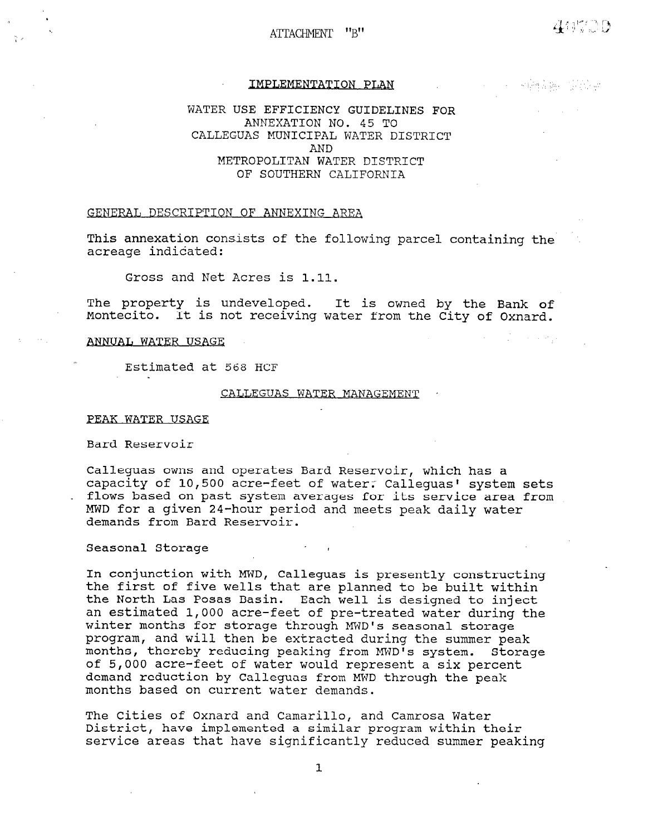2008年4月晚 原始学

#### IMPLEMENTATION PLAN

#### WATER USE EFFICIENCY GUIDELINES FOR ANNEXATION NO. 45 TO CALLEGUAS MUNICIPAL WATER DISTRICT AND METROPOLITAN WATER DISTRICT OF SOUTHERN CALIFORNIA

#### GENERAL DESCRIPTION OF ANNEXING AREA

This annexation consists of the following parcel containing the acreage indicated:

Gross and Net Acres is 1.11.

The property is undeveloped. It is owned by the Bank of Montecito. It is not receiving water from the City of Oxnard.

#### ANNUAL WATER USAGE

Estimated at 568 HCF

#### CALLEGUAS WATER MANAGEMENT

#### PEAK WATER USAGE

Bard Reservoir

Calleguas owns and operates Bard Reservoir, which has a capacity of 10,500 acre-feet of water; Calleguas' system sets flows based on past system averages for its service area from MWD for a given 24-hour period and meets peak daily water demands from Bard Reservoir.

Seasonal Storage

In conjunction with MWD, Calleguas is presently constructing the first of five wells that are planned to be built with the first of five wells that are planned to be built within<br>the North Las Posas Basin. Each well is designed to inject an estimated 1,000 acre-feet of pre-treated water during the winter months for storage through MWD's seasonal storage program, and will then be extracted during the summer peak months, thereby reducing peaking from MWD's system. Storage months, thereby requeing peaking from mwo s system. Sto of 5,000 acre-feet of water would represent a six percent demand reduction by Calleguas from MWD through the peak months based on current water demands.

The Cities of Oxnard and Camarillo, and Camrosa Water District, have implemented a similar program within their District, have implemented a similar program within their<br>service areas that have significantly reduced summer peaking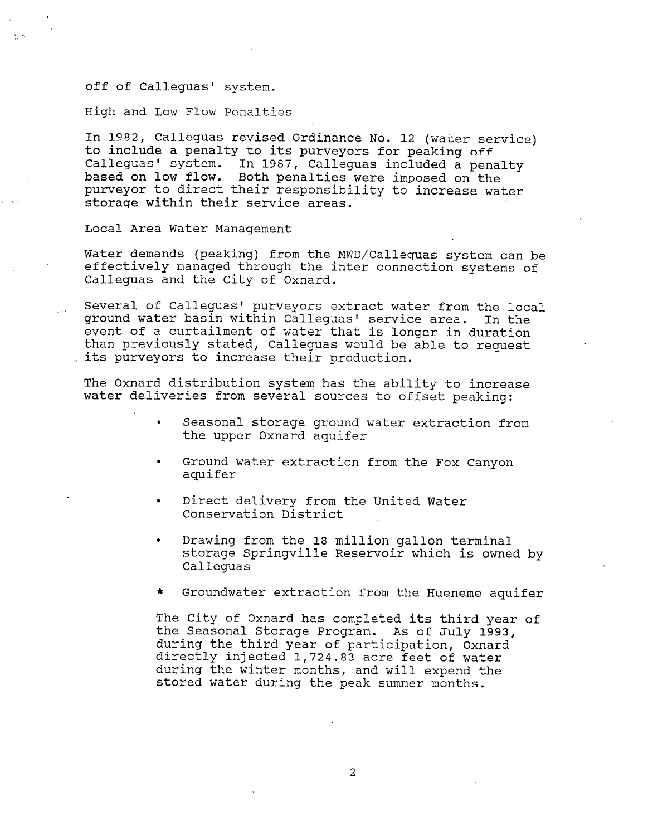#### off of Calleguas' system.

High and Low Flow Penalties

In 1982, Calleguas revised Ordinance No. 12 (water service) to include a penalty to its purveyors for peaking off Calleguas' system. In 1987, Calleguas included a penalty based on low flow. Both penalties were imposed on the purveyor to direct their responsibility to increase water storage within their service areas.

Local Area Water Management

Water demands (peaking) from the MWD/Calleguas system can be effectively managed through the inter connection systems of Calleguas and the City of Oxnard.

Several of Calleguas' purveyors extract water from the local ground water basin within Calleguas' service area. In the event of a curtailment of water that is longer in duration than previously stated, Calleguas would be able to request . its purveyors to increase their production.

The Oxnard distribution system has the ability to increase water deliveries from several sources to offset peaking:

- . Seasonal storage ground water extraction from the upper Oxnard aquifer
- . Ground water extraction from the Fox Canyon aquifer
- . Direct delivery from the United Water Conservation District \_
- . Drawing from the 18 million gallon terminal storage Springville Reservoir which is owned by Calleguas
- Groundwater extraction from the Hueneme aquifer

The City of Oxnard has completed its third year of the City of Oxnafa has Completed its third yea. the Seasonal Storage Program. As of July 1993, during the third year of participation, Oxnard directly injected 1,724.83 acre feet of water during the winter months, and will expend the stored water during the peak summer months.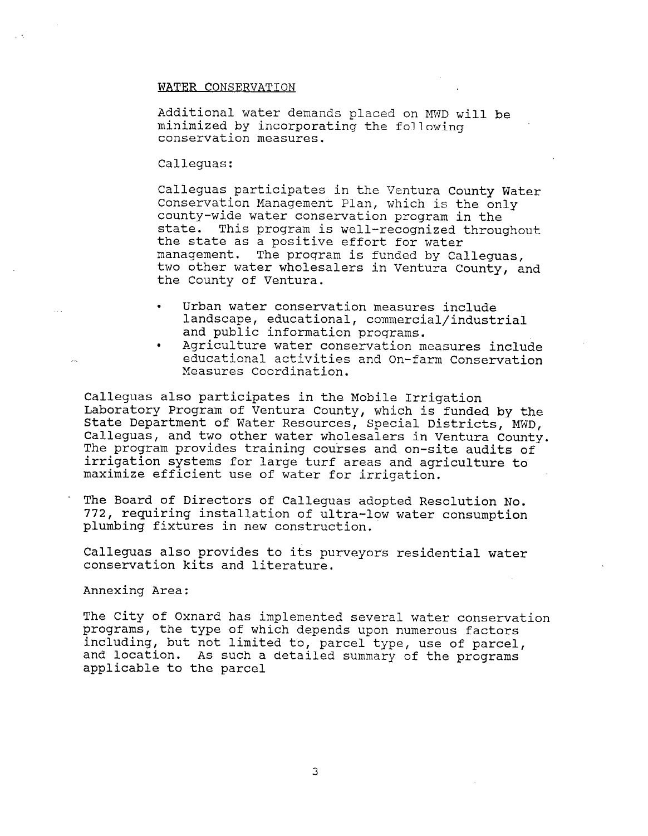#### WATER CONSERVATION

Additional water demands placed on MWD will be minimized by incorporating the following conservation measures.

Calleguas:

Calleguas participates in the Ventura County Water Conservation Management Plan, which is the only county-wide water conservation program in the state. This program is well-recognized throughout the state as a positive effort for water management. The program is funded by Calleguas, two other water wholesalers in Ventura County, and the County of Ventura.

- . Urban water conservation measures include landscape, educational, commercial/industrial and public information programs.
- . Agriculture water conservation measures include educational activities and On-farm Conservation Measures Coordination.

Calleguas also participates in the Mobile Irrigation Laboratory Program of Ventura County, which is funded by the State Department of Water Resources, Special Districts, MWD, Calleguas, and two other water wholesalers in Ventura County. The program provides training courses and on-site audits of irrigation systems for large turf areas and agriculture to maximize efficient use of water for irrigation.

The Board of Directors of Calleguas adopted Resolution No. 772, requiring installation of ultra-low water consumption plumbing fixtures in new construction.

Calleguas also provides to its purveyors residential water conservation kits and literature.

Annexing Area:

The City of Oxnard has implemented several water conservation programs, the type of which depends upon numerous factors programs, the type of which depends upon numerous factor and location. As such a detailed summary of the programs and location. As such a detailed summary of the programs applicable to the parcel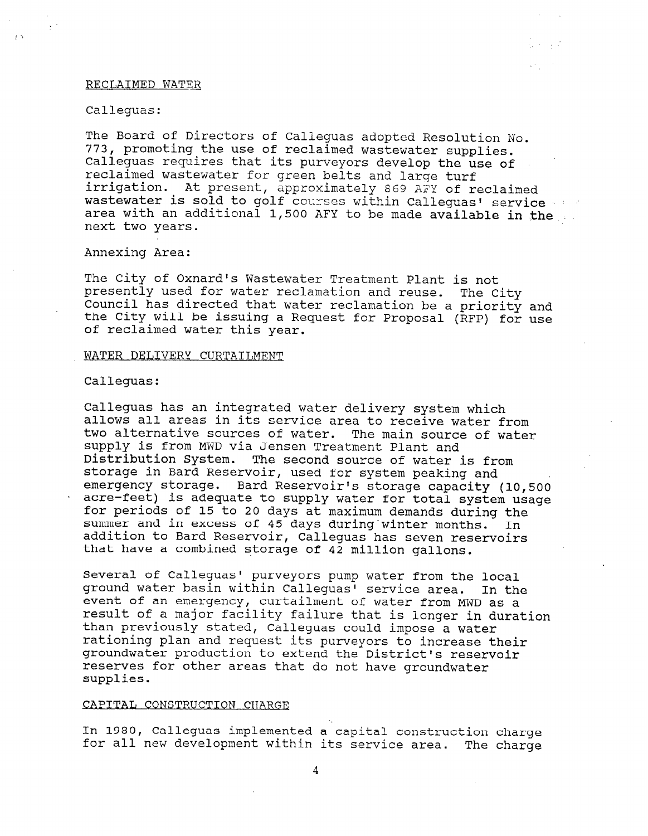#### RECLAIMED WATER

Calleguas:

The Board of Directors of Calieguas adopted Resolution No. 773, promoting the use of reclaimed wastewater supplies. Calleguas requires that its purveyors develop the use of reclaimed wastewater for green belts and large turf irrigation. At present, approximately 869 AFY of reclaimed wastewater is sold to golf courses within Calleguas' service area with an additional 1,500 AFY to be made available in the next two years.

Annexing Area:

The City of Oxnard's Wastewater Treatment Plant is not presently used for water reclamation and reuse. The City Council has directed that water reclamation be a priority and the City will be issuing a Request for Proposal (RFP) for use of reclaimed water this year.

#### WATER DELIVERY CURTAILMENT

#### Calleguas:

Calleguas has an integrated water delivery system which allows all areas in its service area to receive water from two alternative sources of water. The main source of water supply is from MWD via Jensen Treatment Plant and Distribution System. The second source of water is from storage in Bard Reservoir, used for system peaking and emergency storage. Bard Reservoir's storage capacity (10,500 emergency scorage. Daru Reservoir's scorage capacity (10,500 acre reed, is adequate to supply water for total system us for periods of 15 to 20 days at maximum demands during the summer and in excess of 45 days during winter months. In summet and in excess of 45 days during winter months.<br>addition to Bard Reservoir, Calleguas has seven reserve addicton to bard neservoir, carleguas nas seven n<br>that have a combined storage of 42 million gall

Several of Calleguas' purveyors pump water from the local ground water basin within Calleguas' service area. In the ground water basin within tarreguas' Service area. In the event of an emergency, curtainment of water from MWD as a result of a major facility failure that is longer in duration<br>than previously stated, Calleguas could impose a water rationing plan and request its pure increase to increase the control of the increase the increase the increase the racioning pran and request its purveyors to increase the Line of the District reservoir reservoir reservoir re groundwater production to extend the District's reservoir reserves for other areas that do not have groundwater supplies.

#### CAPITAL CONSTRUCTION CHARGE

 $T = 1988$ ,  $C_1$  1,  $C_2$  implemented a capital construction construction construction construction construction charge  $T = 1$ for all new development within its service area. The charge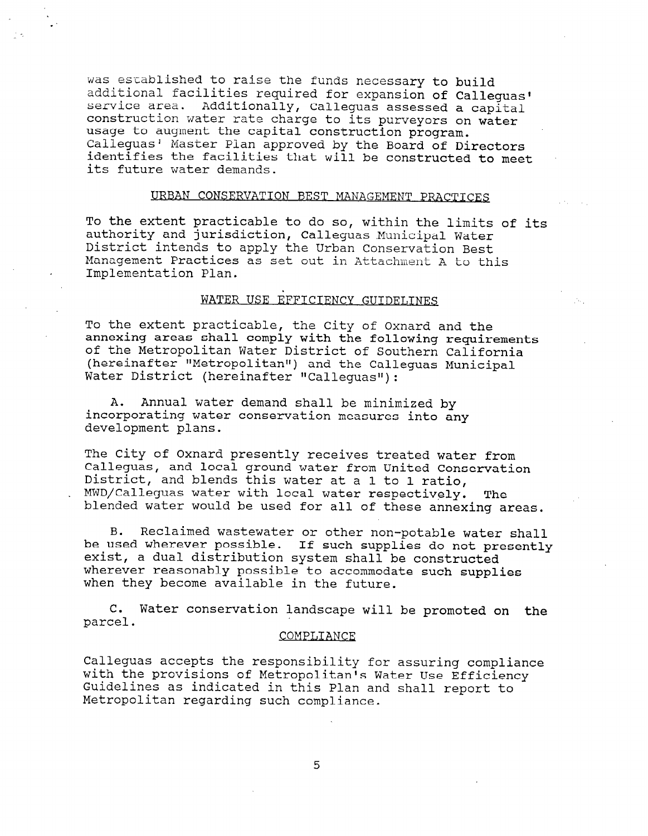was established to raise the funds necessary to build additional facilities required for expansion of Calleguas' service area. Additionally, Calleguas assessed a capital construction water rate charge to its purveyors on water usage to augment the capital construction program. Calleguas' Master Plan approved by the Board of Directors identifies the facilities that will be constructed to meet its future water demands.

#### URBAN CONSERVATION BEST MANAGEMENT PRACTICES

To the extent practicable to do so, within the limits of its authority and jurisdiction, Calleguas Municipal Water District intends to apply the Urban Conservation Best Management Practices as set out in Attachment A to this Implementation Plan.

#### WATER USE RFFICIENCY GUIDELINES

To the extent practicable, the City of Oxnard and the annexing areas shall comply with the following requirements of the Metropolitan Water District of Southern California (hereinafter "Metropolitan") and the Calleguas Municipal Water District (hereinafter "Calleguas"):

A. Annual water demand shall be minimized by incorporating water conservation measures into any development plans.

The City of Oxnard presently receives treated water from Calleguas, and local ground water from United Conservation District, and blends this water at a 1 to 1 ratio, MWD/Calleguas water with local water respectively. The blended water would be used for all of these annexing areas.

B. Reclaimed wastewater or other non-potable water shall be used wherever possible.  $\frac{1}{2}$ exist If such supplies do not present a dual distribution system shall be constructed exist, a duai distribution system shall be constructed wherever reasonably possible to accommodate such supplies when they become available in the future.

C. Water conservation landscape will be promoted on the parcel.

#### **COMPLIANCE**

Calleguas accepts the responsibility for assuring compliance walley as accepts the responsibility for assuring compi with the provisions of metropolitan's water use Efficien Guidelines as indicated in this Plan and shall report to<br>Metropolitan regarding such compliance.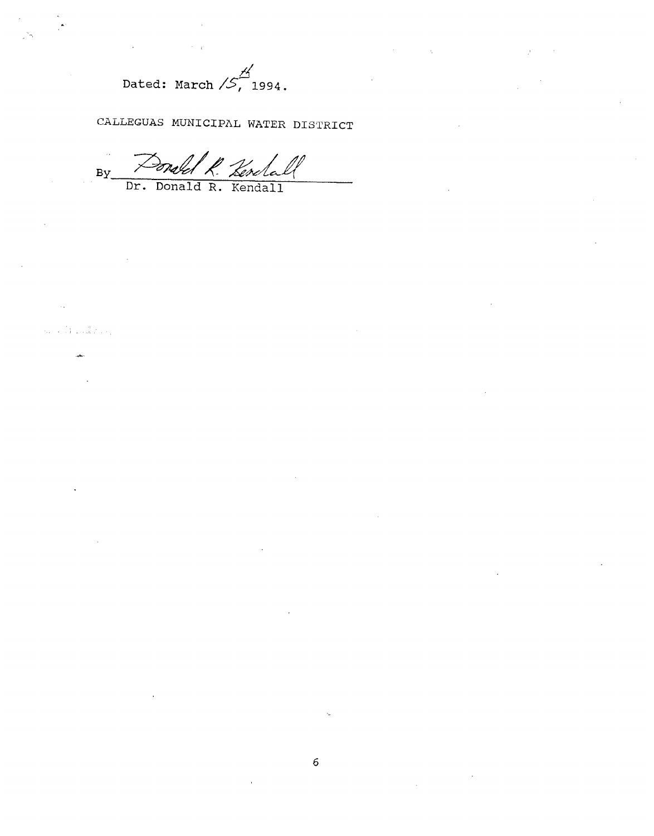Dated: March  $\frac{\cancel{1}}{\cancel{5}}$ , 1994.

an sa Tinggaya

CALLEGUAS MUNICIPAL WATER DISTRICT

By Donald R. Kendall